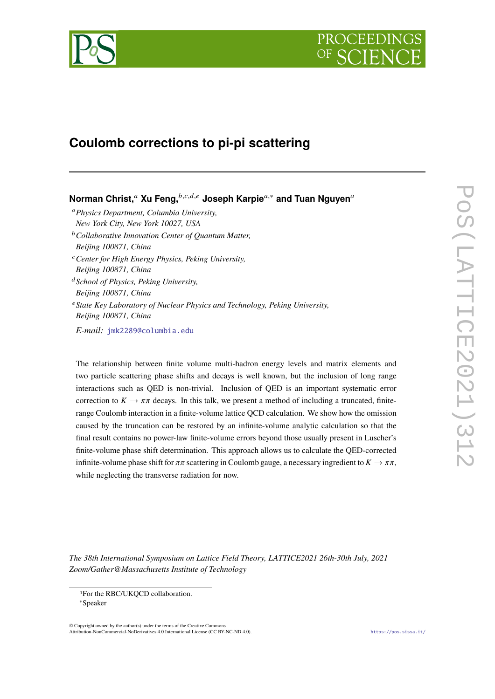

# PROCEEDIN

# **Coulomb corrections to pi-pi scattering**

**Norman Christ,<sup>a</sup> Xu Feng,** *b,c,d,e* **Joseph Karpie<sup>a,∗</sup> and Tuan Nguyen<sup>a</sup>** *Physics Department, Columbia University, New York City, New York 10027, USA Collaborative Innovation Center of Quantum Matter, Beijing 100871, China Center for High Energy Physics, Peking University, Beijing 100871, China School of Physics, Peking University, Beijing 100871, China* <sup>e</sup> State Key Laboratory of Nuclear Physics and Technology, Peking University, *Beijing 100871, China*

*E-mail:* [jmk2289@columbia.edu](mailto:jmk2289@columbia.edu)

The relationship between finite volume multi-hadron energy levels and matrix elements and two particle scattering phase shifts and decays is well known, but the inclusion of long range interactions such as QED is non-trivial. Inclusion of QED is an important systematic error correction to  $K \to \pi \pi$  decays. In this talk, we present a method of including a truncated, finiterange Coulomb interaction in a finite-volume lattice QCD calculation. We show how the omission caused by the truncation can be restored by an infinite-volume analytic calculation so that the final result contains no power-law finite-volume errors beyond those usually present in Luscher's finite-volume phase shift determination. This approach allows us to calculate the QED-corrected infinite-volume phase shift for  $\pi\pi$  scattering in Coulomb gauge, a necessary ingredient to  $K \to \pi\pi$ , while neglecting the transverse radiation for now.

*The 38th International Symposium on Lattice Field Theory, LATTICE2021 26th-30th July, 2021 Zoom/Gather@Massachusetts Institute of Technology*

© Copyright owned by the author(s) under the terms of the Creative Commons Attribution-NonCommercial-NoDerivatives 4.0 International License (CC BY-NC-ND 4.0). <https://pos.sissa.it/>

<sup>1</sup>For the RBC/UKQCD collaboration.

<sup>∗</sup>Speaker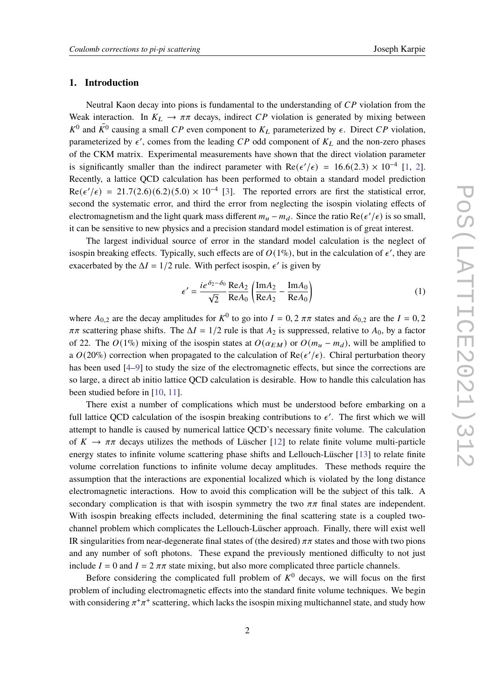#### **1. Introduction**

Neutral Kaon decay into pions is fundamental to the understanding of  $\overline{CP}$  violation from the Weak interaction. In  $K_L \rightarrow \pi \pi$  decays, indirect CP violation is generated by mixing between  $K^0$  and  $\bar{K^0}$  causing a small CP even component to  $K_L$  parameterized by  $\epsilon$ . Direct CP violation, parameterized by  $\epsilon'$ , comes from the leading CP odd component of  $K_L$  and the non-zero phases of the CKM matrix. Experimental measurements have shown that the direct violation parameter is significantly smaller than the indirect parameter with  $\text{Re}(\epsilon'/\epsilon) = 16.6(2.3) \times 10^{-4}$  [\[1,](#page-7-0) [2\]](#page-7-1). Recently, a lattice QCD calculation has been performed to obtain a standard model prediction  $Re(\epsilon'/\epsilon) = 21.7(2.6)(6.2)(5.0) \times 10^{-4}$  [\[3\]](#page-7-2). The reported errors are first the statistical error, second the systematic error, and third the error from neglecting the isospin violating effects of electromagnetism and the light quark mass different  $m_u - m_d$ . Since the ratio Re( $\epsilon'/\epsilon$ ) is so small, it can be sensitive to new physics and a precision standard model estimation is of great interest.

The largest individual source of error in the standard model calculation is the neglect of isospin breaking effects. Typically, such effects are of  $O(1\%)$ , but in the calculation of  $\epsilon'$ , they are exacerbated by the  $\Delta I = 1/2$  rule. With perfect isospin,  $\epsilon'$  is given by

$$
\epsilon' = \frac{ie^{\delta_2 - \delta_0}}{\sqrt{2}} \frac{\text{Re}A_2}{\text{Re}A_0} \left( \frac{\text{Im}A_2}{\text{Re}A_2} - \frac{\text{Im}A_0}{\text{Re}A_0} \right)
$$
(1)

where  $A_{0,2}$  are the decay amplitudes for  $K^0$  to go into  $I = 0, 2 \pi \pi$  states and  $\delta_{0,2}$  are the  $I = 0, 2$  $\pi\pi$  scattering phase shifts. The  $\Delta I = 1/2$  rule is that  $A_2$  is suppressed, relative to  $A_0$ , by a factor of 22. The  $O(1\%)$  mixing of the isospin states at  $O(\alpha_{EM})$  or  $O(m_u - m_d)$ , will be amplified to a  $O(20\%)$  correction when propagated to the calculation of  $\text{Re}(\epsilon'/\epsilon)$ . Chiral perturbation theory has been used [\[4](#page-7-3)[–9\]](#page-8-0) to study the size of the electromagnetic effects, but since the corrections are so large, a direct ab initio lattice QCD calculation is desirable. How to handle this calculation has been studied before in [\[10,](#page-8-1) [11\]](#page-8-2).

There exist a number of complications which must be understood before embarking on a full lattice QCD calculation of the isospin breaking contributions to  $\epsilon'$ . The first which we will attempt to handle is caused by numerical lattice QCD's necessary finite volume. The calculation of  $K \to \pi \pi$  decays utilizes the methods of Lüscher [\[12\]](#page-8-3) to relate finite volume multi-particle energy states to infinite volume scattering phase shifts and Lellouch-Lüscher [\[13\]](#page-8-4) to relate finite volume correlation functions to infinite volume decay amplitudes. These methods require the assumption that the interactions are exponential localized which is violated by the long distance electromagnetic interactions. How to avoid this complication will be the subject of this talk. A secondary complication is that with isospin symmetry the two  $\pi\pi$  final states are independent. With isospin breaking effects included, determining the final scattering state is a coupled twochannel problem which complicates the Lellouch-Lüscher approach. Finally, there will exist well IR singularities from near-degenerate final states of (the desired)  $\pi\pi$  states and those with two pions and any number of soft photons. These expand the previously mentioned difficulty to not just include  $I = 0$  and  $I = 2 \pi \pi$  state mixing, but also more complicated three particle channels.

Before considering the complicated full problem of  $K^0$  decays, we will focus on the first problem of including electromagnetic effects into the standard finite volume techniques. We begin with considering  $\pi^+\pi^+$  scattering, which lacks the isospin mixing multichannel state, and study how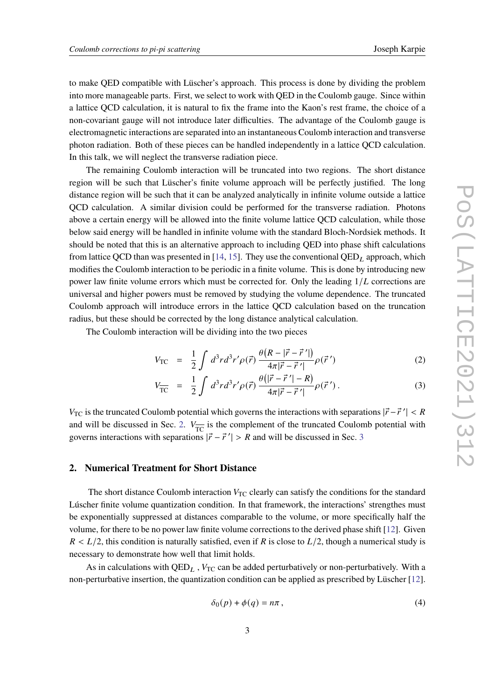to make QED compatible with Lüscher's approach. This process is done by dividing the problem into more manageable parts. First, we select to work with QED in the Coulomb gauge. Since within a lattice QCD calculation, it is natural to fix the frame into the Kaon's rest frame, the choice of a non-covariant gauge will not introduce later difficulties. The advantage of the Coulomb gauge is electromagnetic interactions are separated into an instantaneous Coulomb interaction and transverse photon radiation. Both of these pieces can be handled independently in a lattice QCD calculation. In this talk, we will neglect the transverse radiation piece.

The remaining Coulomb interaction will be truncated into two regions. The short distance region will be such that Lüscher's finite volume approach will be perfectly justified. The long distance region will be such that it can be analyzed analytically in infinite volume outside a lattice QCD calculation. A similar division could be performed for the transverse radiation. Photons above a certain energy will be allowed into the finite volume lattice QCD calculation, while those below said energy will be handled in infinite volume with the standard Bloch-Nordsiek methods. It should be noted that this is an alternative approach to including QED into phase shift calculations from lattice QCD than was presented in [\[14,](#page-8-5) [15\]](#page-8-6). They use the conventional  $QED<sub>L</sub>$  approach, which modifies the Coulomb interaction to be periodic in a finite volume. This is done by introducing new power law finite volume errors which must be corrected for. Only the leading  $1/L$  corrections are universal and higher powers must be removed by studying the volume dependence. The truncated Coulomb approach will introduce errors in the lattice QCD calculation based on the truncation radius, but these should be corrected by the long distance analytical calculation.

The Coulomb interaction will be dividing into the two pieces

$$
V_{\rm TC} = \frac{1}{2} \int d^3 r d^3 r' \rho(\vec{r}) \frac{\theta(R - |\vec{r} - \vec{r}'|)}{4\pi |\vec{r} - \vec{r}'|} \rho(\vec{r}')
$$
(2)

$$
V_{\overline{\text{TC}}} = \frac{1}{2} \int d^3r d^3r' \rho(\vec{r}) \frac{\theta(|\vec{r} - \vec{r}'| - R)}{4\pi |\vec{r} - \vec{r}'|} \rho(\vec{r}'). \tag{3}
$$

 $V_{\text{TC}}$  is the truncated Coulomb potential which governs the interactions with separations  $|\vec{r} - \vec{r}'| < R$ and will be discussed in Sec. [2.](#page-2-0)  $V_{\overline{TC}}$  is the complement of the truncated Coulomb potential with governs interactions with separations  $|\vec{r} - \vec{r}'| > R$  and will be discussed in Sec. [3](#page-4-0)

#### <span id="page-2-0"></span>**2. Numerical Treatment for Short Distance**

The short distance Coulomb interaction  $V_{TC}$  clearly can satisfy the conditions for the standard Lúscher finite volume quantization condition. In that framework, the interactions' strengthes must be exponentially suppressed at distances comparable to the volume, or more specifically half the volume, for there to be no power law finite volume corrections to the derived phase shift [\[12\]](#page-8-3). Given  $R < L/2$ , this condition is naturally satisfied, even if R is close to  $L/2$ , though a numerical study is necessary to demonstrate how well that limit holds.

As in calculations with  $QED<sub>L</sub>$ ,  $V<sub>TC</sub>$  can be added perturbatively or non-perturbatively. With a non-perturbative insertion, the quantization condition can be applied as prescribed by Lüscher [\[12\]](#page-8-3).

$$
\delta_0(p) + \phi(q) = n\pi , \qquad (4)
$$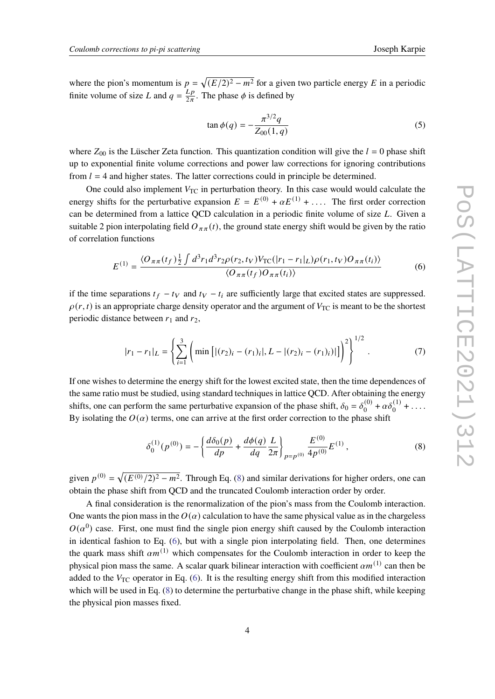where the pion's momentum is  $p = \sqrt{(E/2)^2 - m^2}$  for a given two particle energy E in a periodic finite volume of size L and  $q = \frac{Lp}{2\pi}$  $\frac{L_p}{2\pi}$ . The phase  $\phi$  is defined by

$$
\tan \phi(q) = -\frac{\pi^{3/2}q}{Z_{00}(1,q)}\tag{5}
$$

where  $Z_{00}$  is the Lüscher Zeta function. This quantization condition will give the  $l = 0$  phase shift up to exponential finite volume corrections and power law corrections for ignoring contributions from  $l = 4$  and higher states. The latter corrections could in principle be determined.

One could also implement  $V_{TC}$  in perturbation theory. In this case would would calculate the energy shifts for the perturbative expansion  $E = E^{(0)} + \alpha E^{(1)} + \dots$ . The first order correction can be determined from a lattice QCD calculation in a periodic finite volume of size  $L$ . Given a suitable 2 pion interpolating field  $O_{\pi\pi}(t)$ , the ground state energy shift would be given by the ratio of correlation functions

<span id="page-3-1"></span>
$$
E^{(1)} = \frac{\langle O_{\pi\pi}(t_f) \frac{1}{2} \int d^3 r_1 d^3 r_2 \rho(r_2, t_V) V_{\text{TC}}(|r_1 - r_1|_L) \rho(r_1, t_V) O_{\pi\pi}(t_i) \rangle}{\langle O_{\pi\pi}(t_f) O_{\pi\pi}(t_i) \rangle} \tag{6}
$$

if the time separations  $t_f - t_V$  and  $t_V - t_i$  are sufficiently large that excited states are suppressed.  $\rho(r, t)$  is an appropriate charge density operator and the argument of  $V_{TC}$  is meant to be the shortest periodic distance between  $r_1$  and  $r_2$ ,

$$
|r_1 - r_1|_L = \left\{ \sum_{i=1}^3 \left( \min\left[ |(r_2)_i - (r_1)_i|, L - |(r_2)_i - (r_1)_i| \right] \right)^2 \right\}^{1/2}.
$$
 (7)

If one wishes to determine the energy shift for the lowest excited state, then the time dependences of the same ratio must be studied, using standard techniques in lattice QCD. After obtaining the energy shifts, one can perform the same perturbative expansion of the phase shift,  $\delta_0 = \delta_0^{(0)}$  $\alpha \delta_0^{(1)} + \alpha \delta_0^{(1)} + \ldots$ By isolating the  $O(\alpha)$  terms, one can arrive at the first order correction to the phase shift

<span id="page-3-0"></span>
$$
\delta_0^{(1)}(p^{(0)}) = -\left\{ \frac{d\delta_0(p)}{dp} + \frac{d\phi(q)}{dq} \frac{L}{2\pi} \right\}_{p=p^{(0)}} \frac{E^{(0)}}{4p^{(0)}} E^{(1)} ,\qquad (8)
$$

given  $p^{(0)} = \sqrt{(E^{(0)}/2)^2 - m^2}$ . Through Eq. [\(8\)](#page-3-0) and similar derivations for higher orders, one can obtain the phase shift from QCD and the truncated Coulomb interaction order by order.

A final consideration is the renormalization of the pion's mass from the Coulomb interaction. One wants the pion mass in the  $O(\alpha)$  calculation to have the same physical value as in the chargeless  $O(\alpha^0)$  case. First, one must find the single pion energy shift caused by the Coulomb interaction in identical fashion to Eq. [\(6\)](#page-3-1), but with a single pion interpolating field. Then, one determines the quark mass shift  $\alpha m^{(1)}$  which compensates for the Coulomb interaction in order to keep the physical pion mass the same. A scalar quark bilinear interaction with coefficient  $\alpha m^{(1)}$  can then be added to the  $V_{TC}$  operator in Eq. [\(6\)](#page-3-1). It is the resulting energy shift from this modified interaction which will be used in Eq. [\(8\)](#page-3-0) to determine the perturbative change in the phase shift, while keeping the physical pion masses fixed.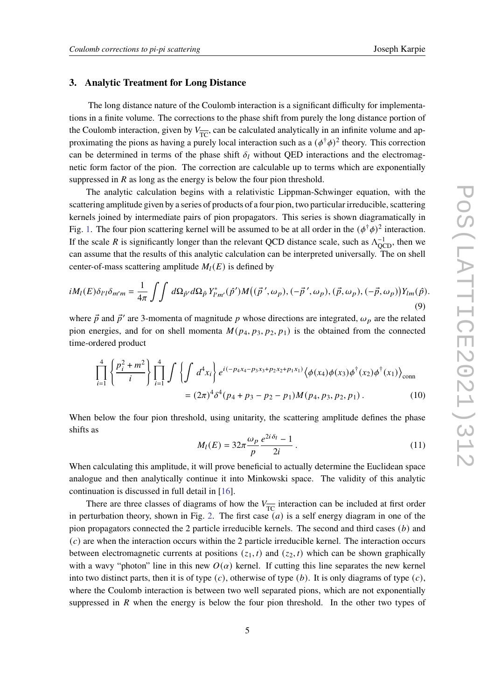#### <span id="page-4-0"></span>**3. Analytic Treatment for Long Distance**

The long distance nature of the Coulomb interaction is a significant difficulty for implementations in a finite volume. The corrections to the phase shift from purely the long distance portion of the Coulomb interaction, given by  $V_{\overline{TC}}$ , can be calculated analytically in an infinite volume and approximating the pions as having a purely local interaction such as a  $(\phi^{\dagger} \phi)^2$  theory. This correction can be determined in terms of the phase shift  $\delta_l$  without QED interactions and the electromagnetic form factor of the pion. The correction are calculable up to terms which are exponentially suppressed in  $R$  as long as the energy is below the four pion threshold.

The analytic calculation begins with a relativistic Lippman-Schwinger equation, with the scattering amplitude given by a series of products of a four pion, two particular irreducible, scattering kernels joined by intermediate pairs of pion propagators. This series is shown diagramatically in Fig. [1.](#page-5-0) The four pion scattering kernel will be assumed to be at all order in the  $(\phi^{\dagger} \phi)^2$  interaction. If the scale R is significantly longer than the relevant QCD distance scale, such as  $\Lambda_{\text{QCD}}^{-1}$ , then we can assume that the results of this analytic calculation can be interpreted universally. The on shell center-of-mass scattering amplitude  $M_l(E)$  is defined by

$$
iM_l(E)\delta_{l'l}\delta_{m'm} = \frac{1}{4\pi} \int \int d\Omega_{\hat{p}'} d\Omega_{\hat{p}} Y^*_{l'm'}(\hat{p}')M((\vec{p}',\omega_p),(-\vec{p}',\omega_p),(\vec{p},\omega_p),(-\vec{p},\omega_p))Y_{lm}(\hat{p}).
$$
\n(9)

where  $\vec{p}$  and  $\vec{p}'$  are 3-momenta of magnitude p whose directions are integrated,  $\omega_p$  are the related pion energies, and for on shell momenta  $M(p_4, p_3, p_2, p_1)$  is the obtained from the connected time-ordered product

$$
\prod_{i=1}^{4} \left\{ \frac{p_i^2 + m^2}{i} \right\} \prod_{i=1}^{4} \int \left\{ \int d^4 x_i \right\} e^{i(-p_4 x_4 - p_3 x_3 + p_2 x_2 + p_1 x_1)} \langle \phi(x_4) \phi(x_3) \phi^\dagger(x_2) \phi^\dagger(x_1) \rangle_{\text{conn}} = (2\pi)^4 \delta^4 (p_4 + p_3 - p_2 - p_1) M(p_4, p_3, p_2, p_1).
$$
 (10)

When below the four pion threshold, using unitarity, the scattering amplitude defines the phase shifts as

$$
M_l(E) = 32\pi \frac{\omega_p}{p} \frac{e^{2i\delta_l} - 1}{2i} \,. \tag{11}
$$

When calculating this amplitude, it will prove beneficial to actually determine the Euclidean space analogue and then analytically continue it into Minkowski space. The validity of this analytic continuation is discussed in full detail in [\[16\]](#page-8-7).

There are three classes of diagrams of how the  $V_{\overline{TC}}$  interaction can be included at first order in perturbation theory, shown in Fig. [2.](#page-5-1) The first case  $(a)$  is a self energy diagram in one of the pion propagators connected the 2 particle irreducible kernels. The second and third cases  $(b)$  and  $(c)$  are when the interaction occurs within the 2 particle irreducible kernel. The interaction occurs between electromagnetic currents at positions  $(z_1, t)$  and  $(z_2, t)$  which can be shown graphically with a wavy "photon" line in this new  $O(\alpha)$  kernel. If cutting this line separates the new kernel into two distinct parts, then it is of type  $(c)$ , otherwise of type  $(b)$ . It is only diagrams of type  $(c)$ , where the Coulomb interaction is between two well separated pions, which are not exponentially suppressed in  $R$  when the energy is below the four pion threshold. In the other two types of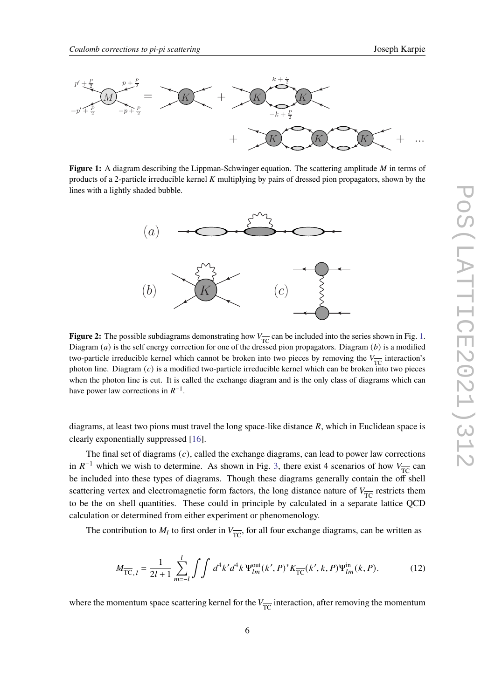<span id="page-5-0"></span>

<span id="page-5-1"></span>lines with a lightly shaded bubble. Figure 1: A diagram describing the Lippman-Schwinger equation. The scattering amplitude M in terms of products of a 2-particle irreducible kernel  $K$  multiplying by pairs of dressed pion propagators, shown by the quation. The scattering amplitude  $M$  in terms of



 $\mathbf{P}_{\text{TC}}$  because the self energy correction for one of the dressed pion propagators. Diagram (b) is a modified Diagram (a) is the self energy correction for one of the dressed pion propagators. Diagram (b) is a modif **Figure 2:** The possible subdiagrams demonstrating how  $V_{\overline{TC}}$  can be included into the series shown in Fig. [1.](#page-5-0) two-particle irreducible kernel which cannot be broken into two pieces by removing the  $V_{\overline{IC}}$  interaction's<br>whaten line. Diagram (c) is a madified turn particle interactivity learned which are hadren into two pieces when the photon line is cut. It is called the exchange diagram and is the only class of diagrams which can photon line. Diagram  $(c)$  is a modified two-particle irreducible kernel which can be broken into two pieces have power law corrections in  $R^{-1}$ .

diagrams, at least two pions must travel the long space-like distance  $R$ , which in Euclidean space is clearly exponentially suppressed [\[16\]](#page-8-7).

The final set of diagrams  $(c)$ , called the exchange diagrams, can lead to power law corrections in  $R^{-1}$  which we wish to determine. As shown in Fig. [3,](#page-6-0) there exist 4 scenarios of how  $V_{\overline{TC}}$  can be included into these types of diagrams. Though these diagrams generally contain the off shell scattering vertex and electromagnetic form factors, the long distance nature of  $V_{\overline{TC}}$  restricts them to be the on shell quantities. These could in principle by calculated in a separate lattice QCD calculation or determined from either experiment or phenomenology.

The contribution to  $M_l$  to first order in  $V_{\overline{TC}}$ , for all four exchange diagrams, can be written as

<span id="page-5-2"></span>
$$
M_{\overline{TC},l} = \frac{1}{2l+1} \sum_{m=-l}^{l} \int \int d^4k' d^4k \, \Psi_{lm}^{\text{out}}(k',P)^* K_{\overline{TC}}(k',k,P) \Psi_{lm}^{\text{in}}(k,P). \tag{12}
$$

where the momentum space scattering kernel for the  $V_{\overline{TC}}$  interaction, after removing the momentum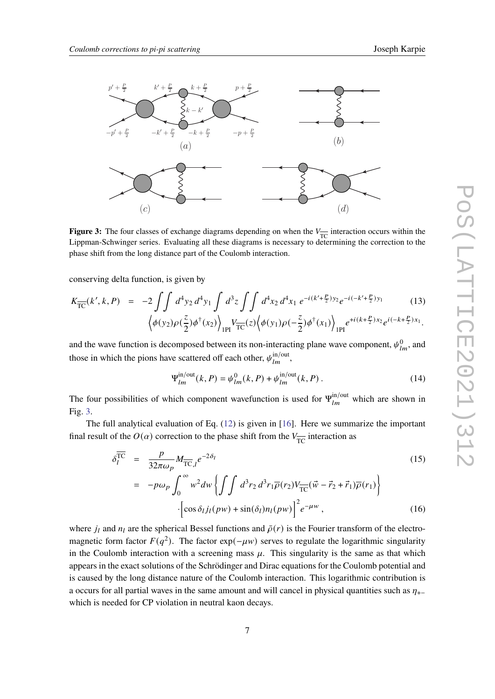<span id="page-6-0"></span>

**Figure 3:** The four classes of exchange diagrams depending on when the  $V_{\overline{TC}}$  interaction occurs within the Lippman-Schwinger series. Evaluating all these diagrams is necessary to determining the correction to the phase shift from the long distance part of the Coulomb interaction.

conserving delta function, is given by

$$
K_{\overline{TC}}(k',k,P) = -2 \iint d^4 y_2 d^4 y_1 \int d^3 z \iint d^4 x_2 d^4 x_1 e^{-i(k' + \frac{P}{2})y_2} e^{-i(-k' + \frac{P}{2})y_1}
$$
(13)  

$$
\left\langle \phi(y_2)\rho(\frac{z}{2})\phi^{\dagger}(x_2) \right\rangle_{\text{1PI}} V_{\overline{TC}}(z) \left\langle \phi(y_1)\rho(-\frac{z}{2})\phi^{\dagger}(x_1) \right\rangle_{\text{1PI}} e^{+i(k+\frac{P}{2})x_2} e^{i(-k+\frac{P}{2})x_1}.
$$

 $\sum_{i=1}^{n}$ and the wave function is decomposed between its non-interacting plane wave component,  $\psi_{lm}^0$ , and those in which the pions have scattered off each other,  $\psi_{lm}^{\text{in/out}}$ ,

$$
\Psi_{lm}^{\text{in/out}}(k, P) = \psi_{lm}^0(k, P) + \psi_{lm}^{\text{in/out}}(k, P) \,. \tag{14}
$$

The four possibilities of which component wavefunction is used for  $\Psi_{lm}^{\text{in/out}}$  which are shown in Fig. [3.](#page-6-0)

The full analytical evaluation of Eq. [\(12\)](#page-5-2) is given in [\[16\]](#page-8-7). Here we summarize the important final result of the  $O(\alpha)$  correction to the phase shift from the  $V_{\overline{TC}}$  interaction as

$$
\delta_{l}^{\overline{\text{TC}}} = \frac{p}{32\pi\omega_{p}} M_{\overline{\text{TC}},l} e^{-2\delta_{l}}
$$
\n
$$
= -p\omega_{p} \int_{0}^{\infty} w^{2} dw \left\{ \int \int d^{3}r_{2} d^{3}r_{1} \overline{\rho}(r_{2}) V_{\overline{\text{TC}}} (\vec{w} - \vec{r}_{2} + \vec{r}_{1}) \overline{\rho}(r_{1}) \right\}
$$
\n
$$
\left[ \cos \delta_{l} j_{l}(p w) + \sin(\delta_{l}) n_{l}(p w) \right]^{2} e^{-\mu w}, \qquad (16)
$$

where  $j_l$  and  $n_l$  are the spherical Bessel functions and  $\bar{\rho}(r)$  is the Fourier transform of the electromagnetic form factor  $F(q^2)$ . The factor exp( $-\mu w$ ) serves to regulate the logarithmic singularity in the Coulomb interaction with a screening mass  $\mu$ . This singularity is the same as that which appears in the exact solutions of the Schrödinger and Dirac equations for the Coulomb potential and is caused by the long distance nature of the Coulomb interaction. This logarithmic contribution is a occurs for all partial waves in the same amount and will cancel in physical quantities such as  $\eta_{+}$ which is needed for CP violation in neutral kaon decays.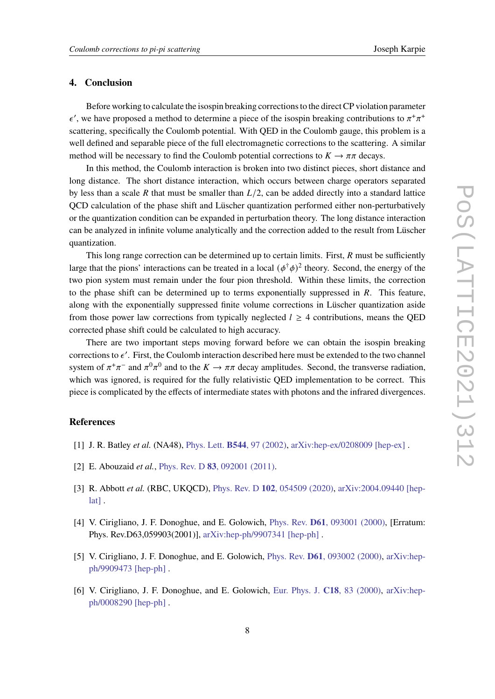### **4. Conclusion**

Before working to calculate the isospin breaking corrections to the direct CP violation parameter  $\epsilon'$ , we have proposed a method to determine a piece of the isospin breaking contributions to  $\pi^+\pi^+$ scattering, specifically the Coulomb potential. With QED in the Coulomb gauge, this problem is a well defined and separable piece of the full electromagnetic corrections to the scattering. A similar method will be necessary to find the Coulomb potential corrections to  $K \to \pi \pi$  decays.

In this method, the Coulomb interaction is broken into two distinct pieces, short distance and long distance. The short distance interaction, which occurs between charge operators separated by less than a scale R that must be smaller than  $L/2$ , can be added directly into a standard lattice QCD calculation of the phase shift and Lüscher quantization performed either non-perturbatively or the quantization condition can be expanded in perturbation theory. The long distance interaction can be analyzed in infinite volume analytically and the correction added to the result from Lüscher quantization.

This long range correction can be determined up to certain limits. First,  $R$  must be sufficiently large that the pions' interactions can be treated in a local  $(\phi^{\dagger} \phi)^2$  theory. Second, the energy of the two pion system must remain under the four pion threshold. Within these limits, the correction to the phase shift can be determined up to terms exponentially suppressed in  $R$ . This feature, along with the exponentially suppressed finite volume corrections in Lüscher quantization aside from those power law corrections from typically neglected  $l \geq 4$  contributions, means the QED corrected phase shift could be calculated to high accuracy.

There are two important steps moving forward before we can obtain the isospin breaking corrections to  $\epsilon'$ . First, the Coulomb interaction described here must be extended to the two channel system of  $\pi^+\pi^-$  and  $\pi^0\pi^0$  and to the  $K \to \pi\pi$  decay amplitudes. Second, the transverse radiation, which was ignored, is required for the fully relativistic QED implementation to be correct. This piece is complicated by the effects of intermediate states with photons and the infrared divergences.

## **References**

- <span id="page-7-0"></span>[1] J. R. Batley *et al.* (NA48), Phys. Lett. **B544**[, 97 \(2002\),](https://doi.org/10.1016/S0370-2693(02)02476-0) [arXiv:hep-ex/0208009 \[hep-ex\]](https://arxiv.org/abs/hep-ex/0208009) .
- <span id="page-7-1"></span>[2] E. Abouzaid *et al.*, Phys. Rev. D **83**[, 092001 \(2011\).](https://doi.org/10.1103/PhysRevD.83.092001)
- <span id="page-7-2"></span>[3] R. Abbott *et al.* (RBC, UKQCD), Phys. Rev. D **102**[, 054509 \(2020\),](https://doi.org/10.1103/PhysRevD.102.054509) [arXiv:2004.09440 \[hep](https://arxiv.org/abs/2004.09440)[lat\]](https://arxiv.org/abs/2004.09440) .
- <span id="page-7-3"></span>[4] V. Cirigliano, J. F. Donoghue, and E. Golowich, Phys. Rev. **D61**[, 093001 \(2000\),](https://doi.org/10.1103/PhysRevD.63.059903, 10.1103/PhysRevD.61.093001) [Erratum: Phys. Rev.D63,059903(2001)], [arXiv:hep-ph/9907341 \[hep-ph\]](https://arxiv.org/abs/hep-ph/9907341) .
- [5] V. Cirigliano, J. F. Donoghue, and E. Golowich, Phys. Rev. **D61**[, 093002 \(2000\),](https://doi.org/10.1103/PhysRevD.61.093002) [arXiv:hep](https://arxiv.org/abs/hep-ph/9909473)[ph/9909473 \[hep-ph\]](https://arxiv.org/abs/hep-ph/9909473) .
- [6] V. Cirigliano, J. F. Donoghue, and E. Golowich, [Eur. Phys. J.](https://doi.org/10.1007/s100520000530) **C18**, 83 (2000), [arXiv:hep](https://arxiv.org/abs/hep-ph/0008290)[ph/0008290 \[hep-ph\]](https://arxiv.org/abs/hep-ph/0008290) .